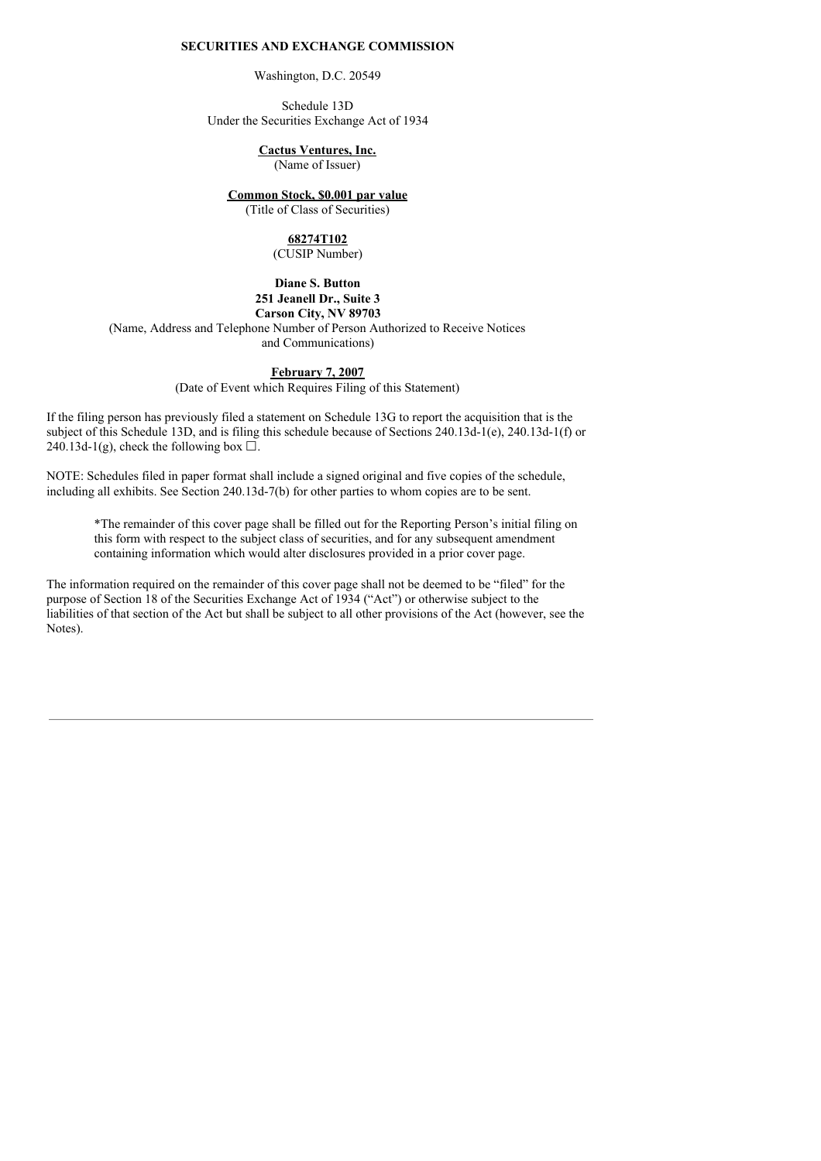### **SECURITIES AND EXCHANGE COMMISSION**

Washington, D.C. 20549

Schedule 13D Under the Securities Exchange Act of 1934

**Cactus Ventures, Inc.**

(Name of Issuer)

**Common Stock, \$0.001 par value**

(Title of Class of Securities)

#### **68274T102** (CUSIP Number)

**Diane S. Button 251 Jeanell Dr., Suite 3**

# **Carson City, NV 89703**

(Name, Address and Telephone Number of Person Authorized to Receive Notices and Communications)

# **February 7, 2007**

(Date of Event which Requires Filing of this Statement)

If the filing person has previously filed a statement on Schedule 13G to report the acquisition that is the subject of this Schedule 13D, and is filing this schedule because of Sections 240.13d-1(e), 240.13d-1(f) or 240.13d-1(g), check the following box  $\Box$ .

NOTE: Schedules filed in paper format shall include a signed original and five copies of the schedule, including all exhibits. See Section 240.13d-7(b) for other parties to whom copies are to be sent.

\*The remainder of this cover page shall be filled out for the Reporting Person's initial filing on this form with respect to the subject class of securities, and for any subsequent amendment containing information which would alter disclosures provided in a prior cover page.

The information required on the remainder of this cover page shall not be deemed to be "filed" for the purpose of Section 18 of the Securities Exchange Act of 1934 ("Act") or otherwise subject to the liabilities of that section of the Act but shall be subject to all other provisions of the Act (however, see the Notes).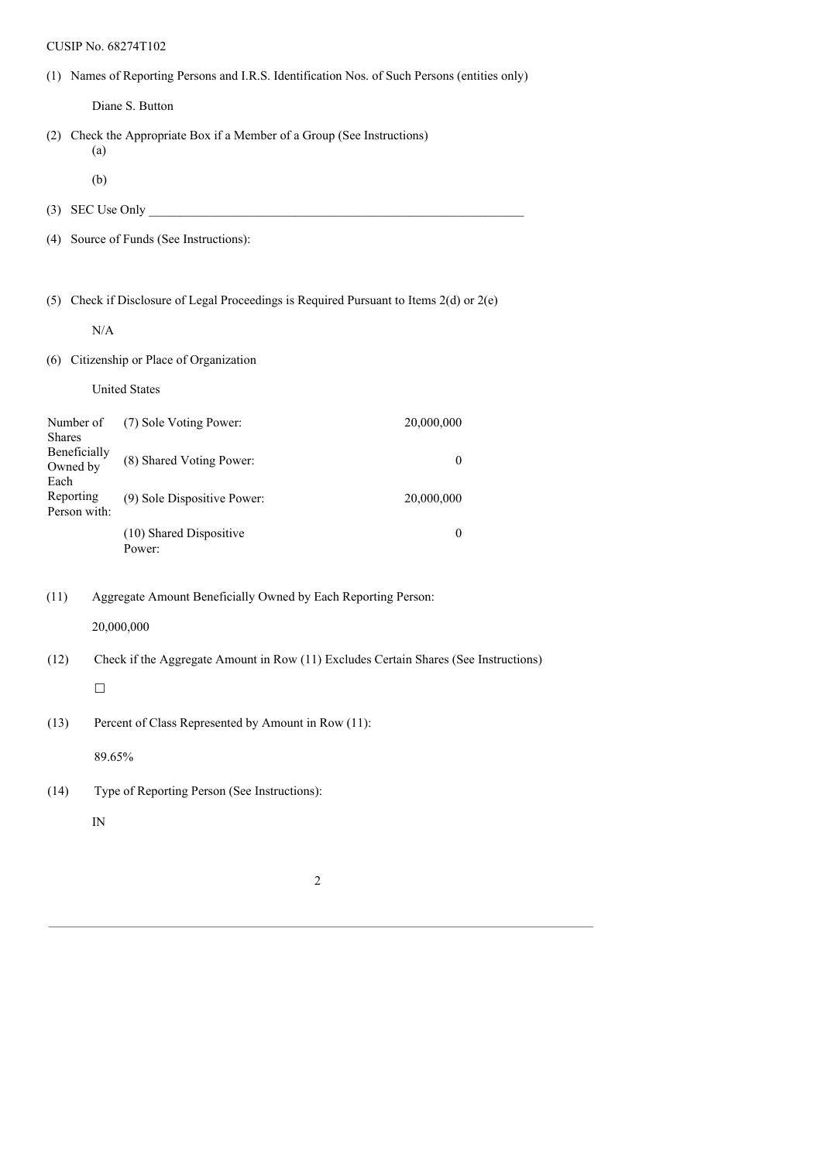# CUSIP No. 68274T102

(1) Names of Reporting Persons and I.R.S. Identification Nos. of Such Persons (entities only)

Diane S. Button

- (2) Check the Appropriate Box if a Member of a Group (See Instructions) (a)
	- (b)
- (3) SEC Use Only  $\Box$
- (4) Source of Funds (See Instructions):

(5) Check if Disclosure of Legal Proceedings is Required Pursuant to Items 2(d) or 2(e)

N/A

(6) Citizenship or Place of Organization

United States

| Number of<br><b>Shares</b>       | (7) Sole Voting Power:            | 20,000,000 |
|----------------------------------|-----------------------------------|------------|
| Beneficially<br>Owned by<br>Each | (8) Shared Voting Power:          |            |
| Reporting<br>Person with:        | (9) Sole Dispositive Power:       | 20,000,000 |
|                                  | (10) Shared Dispositive<br>Power: |            |

(11) Aggregate Amount Beneficially Owned by Each Reporting Person:

20,000,000

(12) Check if the Aggregate Amount in Row (11) Excludes Certain Shares (See Instructions)

# $\Box$

(13) Percent of Class Represented by Amount in Row (11):

89.65%

(14) Type of Reporting Person (See Instructions):

IN

2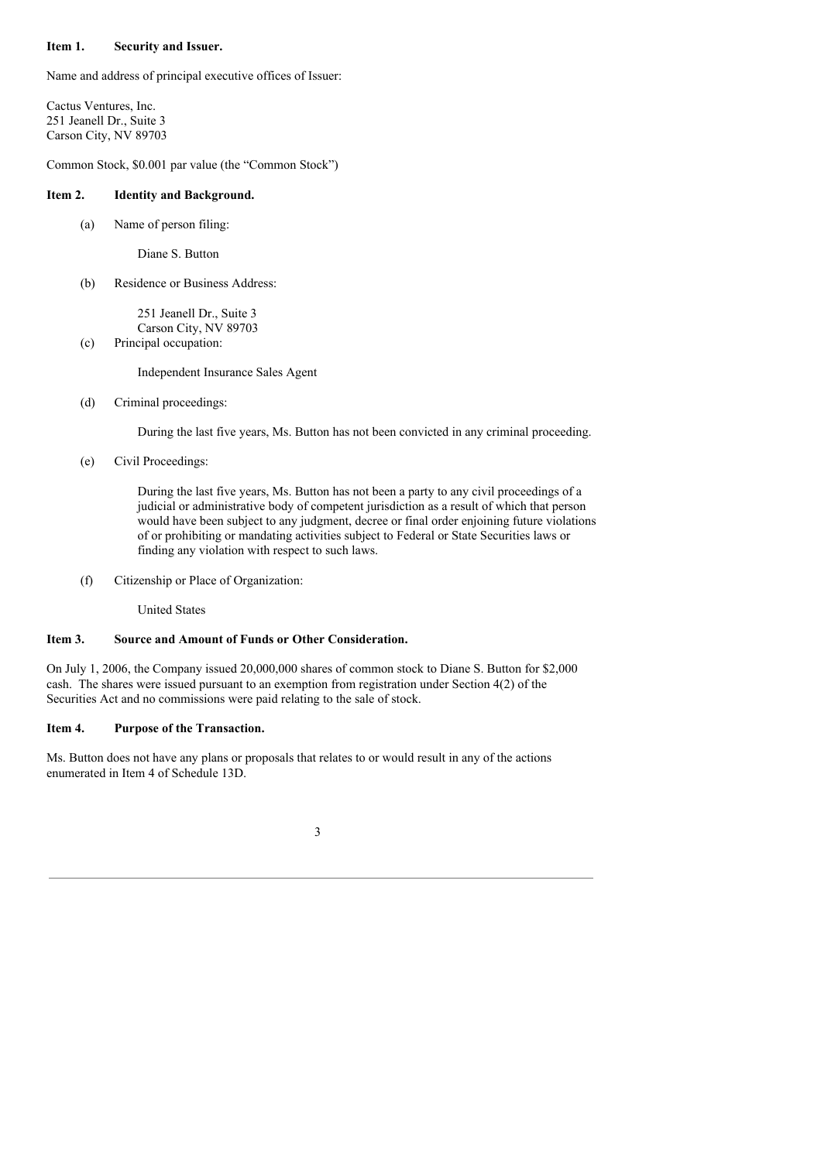### **Item 1. Security and Issuer.**

Name and address of principal executive offices of Issuer:

Cactus Ventures, Inc. 251 Jeanell Dr., Suite 3 Carson City, NV 89703

Common Stock, \$0.001 par value (the "Common Stock")

#### **Item 2. Identity and Background.**

(a) Name of person filing:

Diane S. Button

(b) Residence or Business Address:

251 Jeanell Dr., Suite 3 Carson City, NV 89703

(c) Principal occupation:

Independent Insurance Sales Agent

(d) Criminal proceedings:

During the last five years, Ms. Button has not been convicted in any criminal proceeding.

(e) Civil Proceedings:

During the last five years, Ms. Button has not been a party to any civil proceedings of a judicial or administrative body of competent jurisdiction as a result of which that person would have been subject to any judgment, decree or final order enjoining future violations of or prohibiting or mandating activities subject to Federal or State Securities laws or finding any violation with respect to such laws.

(f) Citizenship or Place of Organization:

United States

### **Item 3. Source and Amount of Funds or Other Consideration.**

On July 1, 2006, the Company issued 20,000,000 shares of common stock to Diane S. Button for \$2,000 cash. The shares were issued pursuant to an exemption from registration under Section 4(2) of the Securities Act and no commissions were paid relating to the sale of stock.

### **Item 4. Purpose of the Transaction.**

Ms. Button does not have any plans or proposals that relates to or would result in any of the actions enumerated in Item 4 of Schedule 13D.

3